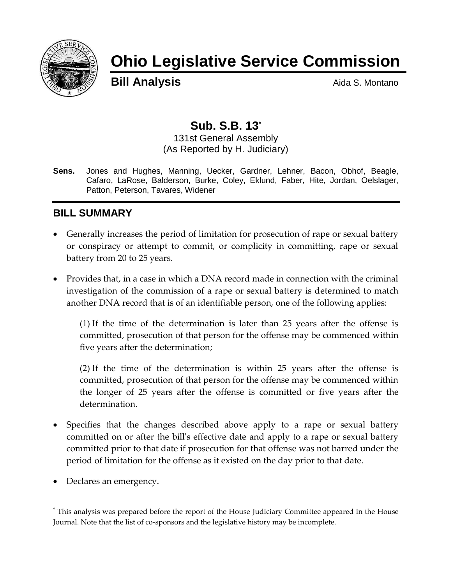

# **Ohio Legislative Service Commission**

**Bill Analysis Aida S. Montano** 

## **Sub. S.B. 13\***

131st General Assembly (As Reported by H. Judiciary)

**Sens.** Jones and Hughes, Manning, Uecker, Gardner, Lehner, Bacon, Obhof, Beagle, Cafaro, LaRose, Balderson, Burke, Coley, Eklund, Faber, Hite, Jordan, Oelslager, Patton, Peterson, Tavares, Widener

#### **BILL SUMMARY**

- Generally increases the period of limitation for prosecution of rape or sexual battery or conspiracy or attempt to commit, or complicity in committing, rape or sexual battery from 20 to 25 years.
- Provides that, in a case in which a DNA record made in connection with the criminal investigation of the commission of a rape or sexual battery is determined to match another DNA record that is of an identifiable person, one of the following applies:

(1) If the time of the determination is later than 25 years after the offense is committed, prosecution of that person for the offense may be commenced within five years after the determination;

(2) If the time of the determination is within 25 years after the offense is committed, prosecution of that person for the offense may be commenced within the longer of 25 years after the offense is committed or five years after the determination.

- Specifies that the changes described above apply to a rape or sexual battery committed on or after the bill's effective date and apply to a rape or sexual battery committed prior to that date if prosecution for that offense was not barred under the period of limitation for the offense as it existed on the day prior to that date.
- Declares an emergency.

<sup>\*</sup> This analysis was prepared before the report of the House Judiciary Committee appeared in the House Journal. Note that the list of co-sponsors and the legislative history may be incomplete.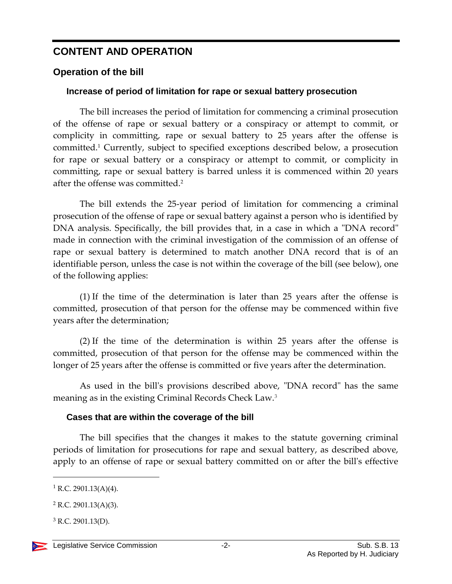## **CONTENT AND OPERATION**

#### **Operation of the bill**

#### **Increase of period of limitation for rape or sexual battery prosecution**

The bill increases the period of limitation for commencing a criminal prosecution of the offense of rape or sexual battery or a conspiracy or attempt to commit, or complicity in committing, rape or sexual battery to 25 years after the offense is committed.<sup>1</sup> Currently, subject to specified exceptions described below, a prosecution for rape or sexual battery or a conspiracy or attempt to commit, or complicity in committing, rape or sexual battery is barred unless it is commenced within 20 years after the offense was committed.<sup>2</sup>

The bill extends the 25-year period of limitation for commencing a criminal prosecution of the offense of rape or sexual battery against a person who is identified by DNA analysis. Specifically, the bill provides that, in a case in which a "DNA record" made in connection with the criminal investigation of the commission of an offense of rape or sexual battery is determined to match another DNA record that is of an identifiable person, unless the case is not within the coverage of the bill (see below), one of the following applies:

(1) If the time of the determination is later than 25 years after the offense is committed, prosecution of that person for the offense may be commenced within five years after the determination;

(2) If the time of the determination is within 25 years after the offense is committed, prosecution of that person for the offense may be commenced within the longer of 25 years after the offense is committed or five years after the determination.

As used in the bill's provisions described above, "DNA record" has the same meaning as in the existing Criminal Records Check Law.<sup>3</sup>

#### **Cases that are within the coverage of the bill**

The bill specifies that the changes it makes to the statute governing criminal periods of limitation for prosecutions for rape and sexual battery, as described above, apply to an offense of rape or sexual battery committed on or after the bill's effective

 $1$  R.C. 2901.13(A)(4).

 $2$  R.C. 2901.13(A)(3).

 $3$  R.C. 2901.13(D).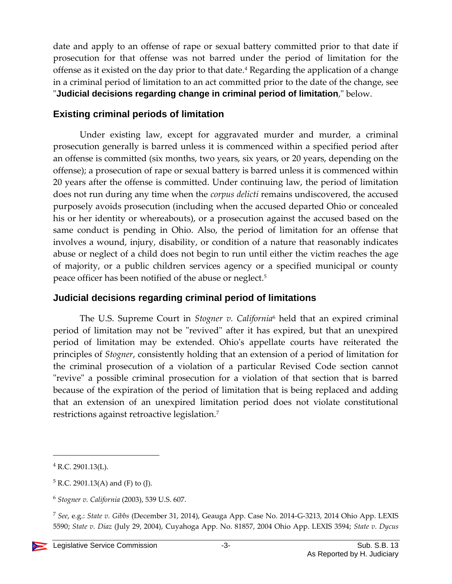date and apply to an offense of rape or sexual battery committed prior to that date if prosecution for that offense was not barred under the period of limitation for the offense as it existed on the day prior to that date.<sup>4</sup> Regarding the application of a change in a criminal period of limitation to an act committed prior to the date of the change, see "**Judicial decisions regarding change in criminal period of limitation**," below.

#### **Existing criminal periods of limitation**

Under existing law, except for aggravated murder and murder, a criminal prosecution generally is barred unless it is commenced within a specified period after an offense is committed (six months, two years, six years, or 20 years, depending on the offense); a prosecution of rape or sexual battery is barred unless it is commenced within 20 years after the offense is committed. Under continuing law, the period of limitation does not run during any time when the *corpus delicti* remains undiscovered, the accused purposely avoids prosecution (including when the accused departed Ohio or concealed his or her identity or whereabouts), or a prosecution against the accused based on the same conduct is pending in Ohio. Also, the period of limitation for an offense that involves a wound, injury, disability, or condition of a nature that reasonably indicates abuse or neglect of a child does not begin to run until either the victim reaches the age of majority, or a public children services agency or a specified municipal or county peace officer has been notified of the abuse or neglect.<sup>5</sup>

#### **Judicial decisions regarding criminal period of limitations**

The U.S. Supreme Court in *Stogner v. California*<sup>6</sup> held that an expired criminal period of limitation may not be "revived" after it has expired, but that an unexpired period of limitation may be extended. Ohio's appellate courts have reiterated the principles of *Stogner*, consistently holding that an extension of a period of limitation for the criminal prosecution of a violation of a particular Revised Code section cannot "revive" a possible criminal prosecution for a violation of that section that is barred because of the expiration of the period of limitation that is being replaced and adding that an extension of an unexpired limitation period does not violate constitutional restrictions against retroactive legislation.<sup>7</sup>

 $4$  R.C. 2901.13(L).

 $5$  R.C. 2901.13(A) and (F) to (J).

<sup>6</sup> *Stogner v. California* (2003), 539 U.S. 607.

<sup>7</sup> *See*, e.g.: *State v. Gibbs* (December 31, 2014), Geauga App. Case No. 2014-G-3213, 2014 Ohio App. LEXIS 5590; *State v. Diaz* (July 29, 2004), Cuyahoga App. No. 81857, 2004 Ohio App. LEXIS 3594; *State v. Dycus*